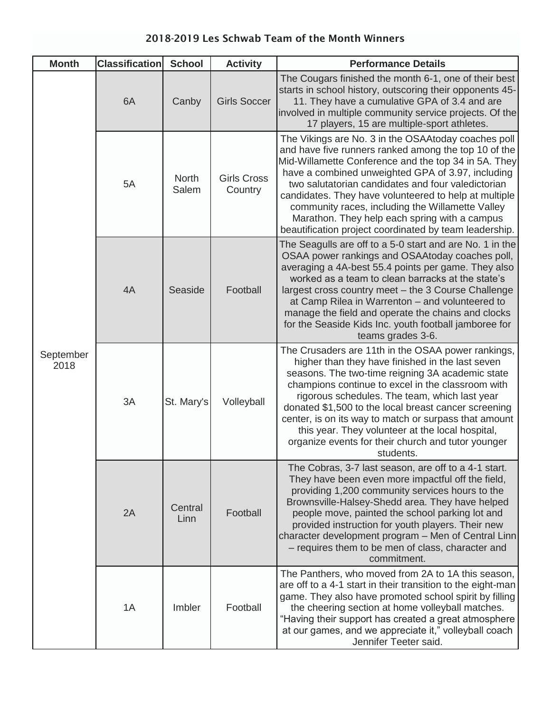| <b>Month</b>      | <b>Classification</b> | <b>School</b>         | <b>Activity</b>               | <b>Performance Details</b>                                                                                                                                                                                                                                                                                                                                                                                                                                                                               |
|-------------------|-----------------------|-----------------------|-------------------------------|----------------------------------------------------------------------------------------------------------------------------------------------------------------------------------------------------------------------------------------------------------------------------------------------------------------------------------------------------------------------------------------------------------------------------------------------------------------------------------------------------------|
| September<br>2018 | 6A                    | Canby                 | <b>Girls Soccer</b>           | The Cougars finished the month 6-1, one of their best<br>starts in school history, outscoring their opponents 45-<br>11. They have a cumulative GPA of 3.4 and are<br>involved in multiple community service projects. Of the<br>17 players, 15 are multiple-sport athletes.                                                                                                                                                                                                                             |
|                   | 5A                    | <b>North</b><br>Salem | <b>Girls Cross</b><br>Country | The Vikings are No. 3 in the OSAAtoday coaches poll<br>and have five runners ranked among the top 10 of the<br>Mid-Willamette Conference and the top 34 in 5A. They<br>have a combined unweighted GPA of 3.97, including<br>two salutatorian candidates and four valedictorian<br>candidates. They have volunteered to help at multiple<br>community races, including the Willamette Valley<br>Marathon. They help each spring with a campus<br>beautification project coordinated by team leadership.   |
|                   | 4A                    | Seaside               | Football                      | The Seagulls are off to a 5-0 start and are No. 1 in the<br>OSAA power rankings and OSAAtoday coaches poll,<br>averaging a 4A-best 55.4 points per game. They also<br>worked as a team to clean barracks at the state's<br>largest cross country meet - the 3 Course Challenge<br>at Camp Rilea in Warrenton – and volunteered to<br>manage the field and operate the chains and clocks<br>for the Seaside Kids Inc. youth football jamboree for<br>teams grades 3-6.                                    |
|                   | 3A                    | St. Mary's            | Volleyball                    | The Crusaders are 11th in the OSAA power rankings,<br>higher than they have finished in the last seven<br>seasons. The two-time reigning 3A academic state<br>champions continue to excel in the classroom with<br>rigorous schedules. The team, which last year<br>donated \$1,500 to the local breast cancer screening<br>center, is on its way to match or surpass that amount<br>this year. They volunteer at the local hospital,<br>organize events for their church and tutor younger<br>students. |
|                   | 2A                    | Central<br>Linn       | Football                      | The Cobras, 3-7 last season, are off to a 4-1 start.<br>They have been even more impactful off the field,<br>providing 1,200 community services hours to the<br>Brownsville-Halsey-Shedd area. They have helped<br>people move, painted the school parking lot and<br>provided instruction for youth players. Their new<br>character development program - Men of Central Linn<br>- requires them to be men of class, character and<br>commitment.                                                       |
|                   | 1A                    | Imbler                | Football                      | The Panthers, who moved from 2A to 1A this season,<br>are off to a 4-1 start in their transition to the eight-man<br>game. They also have promoted school spirit by filling<br>the cheering section at home volleyball matches.<br>"Having their support has created a great atmosphere<br>at our games, and we appreciate it," volleyball coach<br>Jennifer Teeter said.                                                                                                                                |

## 2018-2019 Les Schwab Team of the Month Winners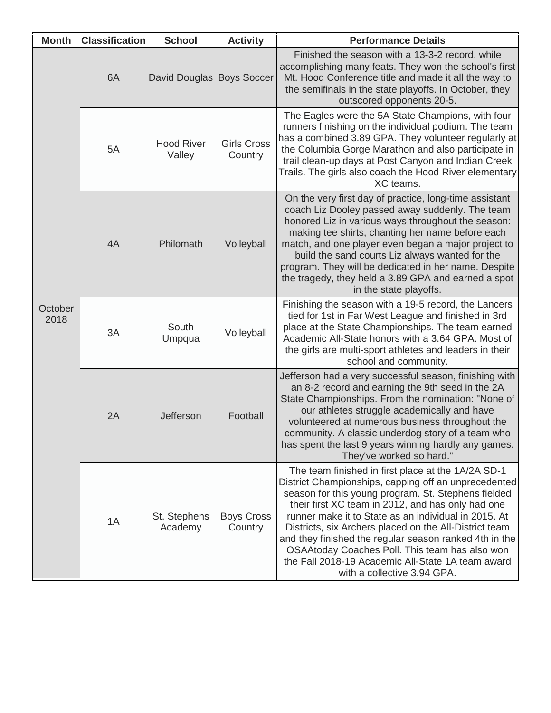| <b>Month</b>    | <b>Classification</b> | <b>School</b>               | <b>Activity</b>               | <b>Performance Details</b>                                                                                                                                                                                                                                                                                                                                                                                                                                                                                                               |
|-----------------|-----------------------|-----------------------------|-------------------------------|------------------------------------------------------------------------------------------------------------------------------------------------------------------------------------------------------------------------------------------------------------------------------------------------------------------------------------------------------------------------------------------------------------------------------------------------------------------------------------------------------------------------------------------|
| October<br>2018 | 6A                    | David Douglas Boys Soccer   |                               | Finished the season with a 13-3-2 record, while<br>accomplishing many feats. They won the school's first<br>Mt. Hood Conference title and made it all the way to<br>the semifinals in the state playoffs. In October, they<br>outscored opponents 20-5.                                                                                                                                                                                                                                                                                  |
|                 | 5A                    | <b>Hood River</b><br>Valley | <b>Girls Cross</b><br>Country | The Eagles were the 5A State Champions, with four<br>runners finishing on the individual podium. The team<br>has a combined 3.89 GPA. They volunteer regularly at<br>the Columbia Gorge Marathon and also participate in<br>trail clean-up days at Post Canyon and Indian Creek<br>Trails. The girls also coach the Hood River elementary<br>XC teams.                                                                                                                                                                                   |
|                 | 4A                    | Philomath                   | Volleyball                    | On the very first day of practice, long-time assistant<br>coach Liz Dooley passed away suddenly. The team<br>honored Liz in various ways throughout the season:<br>making tee shirts, chanting her name before each<br>match, and one player even began a major project to<br>build the sand courts Liz always wanted for the<br>program. They will be dedicated in her name. Despite<br>the tragedy, they held a 3.89 GPA and earned a spot<br>in the state playoffs.                                                                   |
|                 | 3A                    | South<br>Umpqua             | Volleyball                    | Finishing the season with a 19-5 record, the Lancers<br>tied for 1st in Far West League and finished in 3rd<br>place at the State Championships. The team earned<br>Academic All-State honors with a 3.64 GPA. Most of<br>the girls are multi-sport athletes and leaders in their<br>school and community.                                                                                                                                                                                                                               |
|                 | 2A                    | Jefferson                   | Football                      | Jefferson had a very successful season, finishing with<br>an 8-2 record and earning the 9th seed in the 2A<br>State Championships. From the nomination: "None of<br>our athletes struggle academically and have<br>volunteered at numerous business throughout the<br>community. A classic underdog story of a team who<br>has spent the last 9 years winning hardly any games.<br>They've worked so hard."                                                                                                                              |
|                 | 1A                    | St. Stephens<br>Academy     | <b>Boys Cross</b><br>Country  | The team finished in first place at the 1A/2A SD-1<br>District Championships, capping off an unprecedented<br>season for this young program. St. Stephens fielded<br>their first XC team in 2012, and has only had one<br>runner make it to State as an individual in 2015. At<br>Districts, six Archers placed on the All-District team<br>and they finished the regular season ranked 4th in the<br>OSAAtoday Coaches Poll. This team has also won<br>the Fall 2018-19 Academic All-State 1A team award<br>with a collective 3.94 GPA. |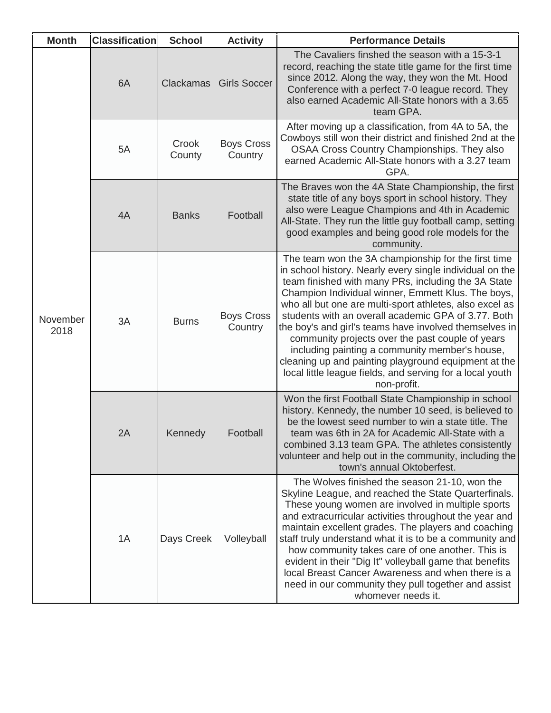| <b>Month</b>     | <b>Classification</b> | <b>School</b>    | <b>Activity</b>              | <b>Performance Details</b>                                                                                                                                                                                                                                                                                                                                                                                                                                                                                                                                                                                                                         |
|------------------|-----------------------|------------------|------------------------------|----------------------------------------------------------------------------------------------------------------------------------------------------------------------------------------------------------------------------------------------------------------------------------------------------------------------------------------------------------------------------------------------------------------------------------------------------------------------------------------------------------------------------------------------------------------------------------------------------------------------------------------------------|
| November<br>2018 | 6A                    | <b>Clackamas</b> | <b>Girls Soccer</b>          | The Cavaliers finshed the season with a 15-3-1<br>record, reaching the state title game for the first time<br>since 2012. Along the way, they won the Mt. Hood<br>Conference with a perfect 7-0 league record. They<br>also earned Academic All-State honors with a 3.65<br>team GPA.                                                                                                                                                                                                                                                                                                                                                              |
|                  | 5A                    | Crook<br>County  | <b>Boys Cross</b><br>Country | After moving up a classification, from 4A to 5A, the<br>Cowboys still won their district and finished 2nd at the<br>OSAA Cross Country Championships. They also<br>earned Academic All-State honors with a 3.27 team<br>GPA.                                                                                                                                                                                                                                                                                                                                                                                                                       |
|                  | 4A                    | <b>Banks</b>     | Football                     | The Braves won the 4A State Championship, the first<br>state title of any boys sport in school history. They<br>also were League Champions and 4th in Academic<br>All-State. They run the little guy football camp, setting<br>good examples and being good role models for the<br>community.                                                                                                                                                                                                                                                                                                                                                      |
|                  | 3A                    | <b>Burns</b>     | <b>Boys Cross</b><br>Country | The team won the 3A championship for the first time<br>in school history. Nearly every single individual on the<br>team finished with many PRs, including the 3A State<br>Champion Individual winner, Emmett Klus. The boys,<br>who all but one are multi-sport athletes, also excel as<br>students with an overall academic GPA of 3.77. Both<br>the boy's and girl's teams have involved themselves in<br>community projects over the past couple of years<br>including painting a community member's house,<br>cleaning up and painting playground equipment at the<br>local little league fields, and serving for a local youth<br>non-profit. |
|                  | 2A                    | Kennedy          | Football                     | Won the first Football State Championship in school<br>history. Kennedy, the number 10 seed, is believed to<br>be the lowest seed number to win a state title. The<br>team was 6th in 2A for Academic All-State with a<br>combined 3.13 team GPA. The athletes consistently<br>volunteer and help out in the community, including the<br>town's annual Oktoberfest.                                                                                                                                                                                                                                                                                |
|                  | 1A                    | Days Creek       | Volleyball                   | The Wolves finished the season 21-10, won the<br>Skyline League, and reached the State Quarterfinals.<br>These young women are involved in multiple sports<br>and extracurricular activities throughout the year and<br>maintain excellent grades. The players and coaching<br>staff truly understand what it is to be a community and<br>how community takes care of one another. This is<br>evident in their "Dig It" volleyball game that benefits<br>local Breast Cancer Awareness and when there is a<br>need in our community they pull together and assist<br>whomever needs it.                                                            |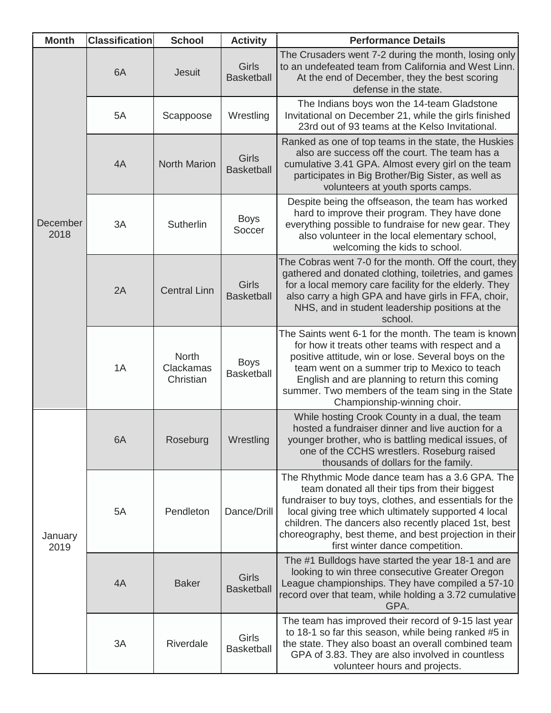| <b>Month</b>     | <b>Classification</b> | <b>School</b>                          | <b>Activity</b>                   | <b>Performance Details</b>                                                                                                                                                                                                                                                                                                                                                |
|------------------|-----------------------|----------------------------------------|-----------------------------------|---------------------------------------------------------------------------------------------------------------------------------------------------------------------------------------------------------------------------------------------------------------------------------------------------------------------------------------------------------------------------|
| December<br>2018 | 6A                    | <b>Jesuit</b>                          | <b>Girls</b><br><b>Basketball</b> | The Crusaders went 7-2 during the month, losing only<br>to an undefeated team from California and West Linn.<br>At the end of December, they the best scoring<br>defense in the state.                                                                                                                                                                                    |
|                  | 5A                    | Scappoose                              | Wrestling                         | The Indians boys won the 14-team Gladstone<br>Invitational on December 21, while the girls finished<br>23rd out of 93 teams at the Kelso Invitational.                                                                                                                                                                                                                    |
|                  | 4A                    | North Marion                           | <b>Girls</b><br><b>Basketball</b> | Ranked as one of top teams in the state, the Huskies<br>also are success off the court. The team has a<br>cumulative 3.41 GPA. Almost every girl on the team<br>participates in Big Brother/Big Sister, as well as<br>volunteers at youth sports camps.                                                                                                                   |
|                  | 3A                    | Sutherlin                              | <b>Boys</b><br>Soccer             | Despite being the offseason, the team has worked<br>hard to improve their program. They have done<br>everything possible to fundraise for new gear. They<br>also volunteer in the local elementary school,<br>welcoming the kids to school.                                                                                                                               |
|                  | 2A                    | <b>Central Linn</b>                    | <b>Girls</b><br><b>Basketball</b> | The Cobras went 7-0 for the month. Off the court, they<br>gathered and donated clothing, toiletries, and games<br>for a local memory care facility for the elderly. They<br>also carry a high GPA and have girls in FFA, choir,<br>NHS, and in student leadership positions at the<br>school.                                                                             |
|                  | 1A                    | <b>North</b><br>Clackamas<br>Christian | <b>Boys</b><br><b>Basketball</b>  | The Saints went 6-1 for the month. The team is known<br>for how it treats other teams with respect and a<br>positive attitude, win or lose. Several boys on the<br>team went on a summer trip to Mexico to teach<br>English and are planning to return this coming<br>summer. Two members of the team sing in the State<br>Championship-winning choir.                    |
| January<br>2019  | 6A                    | Roseburg                               | Wrestling                         | While hosting Crook County in a dual, the team<br>hosted a fundraiser dinner and live auction for a<br>younger brother, who is battling medical issues, of<br>one of the CCHS wrestlers. Roseburg raised<br>thousands of dollars for the family.                                                                                                                          |
|                  | 5A                    | Pendleton                              | Dance/Drill                       | The Rhythmic Mode dance team has a 3.6 GPA. The<br>team donated all their tips from their biggest<br>fundraiser to buy toys, clothes, and essentials for the<br>local giving tree which ultimately supported 4 local<br>children. The dancers also recently placed 1st, best<br>choreography, best theme, and best projection in their<br>first winter dance competition. |
|                  | 4A                    | <b>Baker</b>                           | <b>Girls</b><br><b>Basketball</b> | The #1 Bulldogs have started the year 18-1 and are<br>looking to win three consecutive Greater Oregon<br>League championships. They have compiled a 57-10<br>record over that team, while holding a 3.72 cumulative<br>GPA.                                                                                                                                               |
|                  | 3A                    | Riverdale                              | Girls<br><b>Basketball</b>        | The team has improved their record of 9-15 last year<br>to 18-1 so far this season, while being ranked #5 in<br>the state. They also boast an overall combined team<br>GPA of 3.83. They are also involved in countless<br>volunteer hours and projects.                                                                                                                  |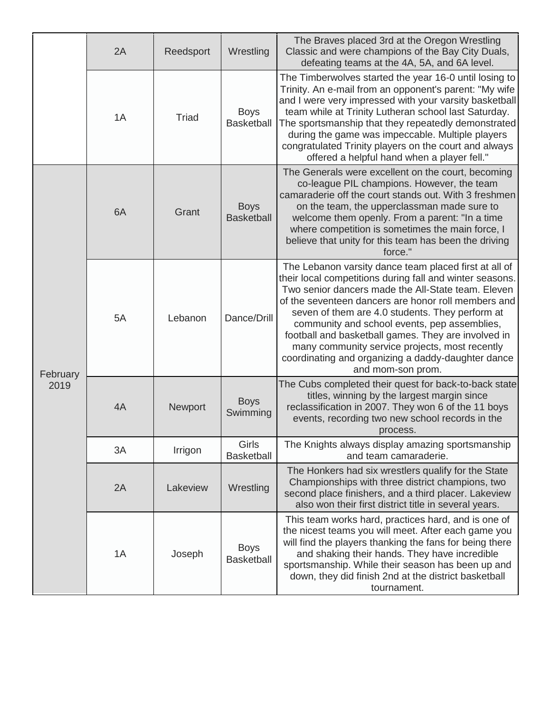|                  | 2A | Reedsport | Wrestling                        | The Braves placed 3rd at the Oregon Wrestling<br>Classic and were champions of the Bay City Duals,<br>defeating teams at the 4A, 5A, and 6A level.                                                                                                                                                                                                                                                                                                                                                                    |
|------------------|----|-----------|----------------------------------|-----------------------------------------------------------------------------------------------------------------------------------------------------------------------------------------------------------------------------------------------------------------------------------------------------------------------------------------------------------------------------------------------------------------------------------------------------------------------------------------------------------------------|
|                  | 1A | Triad     | <b>Boys</b><br><b>Basketball</b> | The Timberwolves started the year 16-0 until losing to<br>Trinity. An e-mail from an opponent's parent: "My wife<br>and I were very impressed with your varsity basketball<br>team while at Trinity Lutheran school last Saturday.<br>The sportsmanship that they repeatedly demonstrated<br>during the game was impeccable. Multiple players<br>congratulated Trinity players on the court and always<br>offered a helpful hand when a player fell."                                                                 |
| February<br>2019 | 6A | Grant     | <b>Boys</b><br><b>Basketball</b> | The Generals were excellent on the court, becoming<br>co-league PIL champions. However, the team<br>camaraderie off the court stands out. With 3 freshmen<br>on the team, the upperclassman made sure to<br>welcome them openly. From a parent: "In a time<br>where competition is sometimes the main force, I<br>believe that unity for this team has been the driving<br>force."                                                                                                                                    |
|                  | 5A | Lebanon   | Dance/Drill                      | The Lebanon varsity dance team placed first at all of<br>their local competitions during fall and winter seasons.<br>Two senior dancers made the All-State team. Eleven<br>of the seventeen dancers are honor roll members and<br>seven of them are 4.0 students. They perform at<br>community and school events, pep assemblies,<br>football and basketball games. They are involved in<br>many community service projects, most recently<br>coordinating and organizing a daddy-daughter dance<br>and mom-son prom. |
|                  | 4A | Newport   | <b>Boys</b><br>Swimming          | The Cubs completed their quest for back-to-back state<br>titles, winning by the largest margin since<br>reclassification in 2007. They won 6 of the 11 boys<br>events, recording two new school records in the<br>process.                                                                                                                                                                                                                                                                                            |
|                  | 3A | Irrigon   | Girls<br><b>Basketball</b>       | The Knights always display amazing sportsmanship<br>and team camaraderie.                                                                                                                                                                                                                                                                                                                                                                                                                                             |
|                  | 2A | Lakeview  | Wrestling                        | The Honkers had six wrestlers qualify for the State<br>Championships with three district champions, two<br>second place finishers, and a third placer. Lakeview<br>also won their first district title in several years.                                                                                                                                                                                                                                                                                              |
|                  | 1A | Joseph    | <b>Boys</b><br><b>Basketball</b> | This team works hard, practices hard, and is one of<br>the nicest teams you will meet. After each game you<br>will find the players thanking the fans for being there<br>and shaking their hands. They have incredible<br>sportsmanship. While their season has been up and<br>down, they did finish 2nd at the district basketball<br>tournament.                                                                                                                                                                    |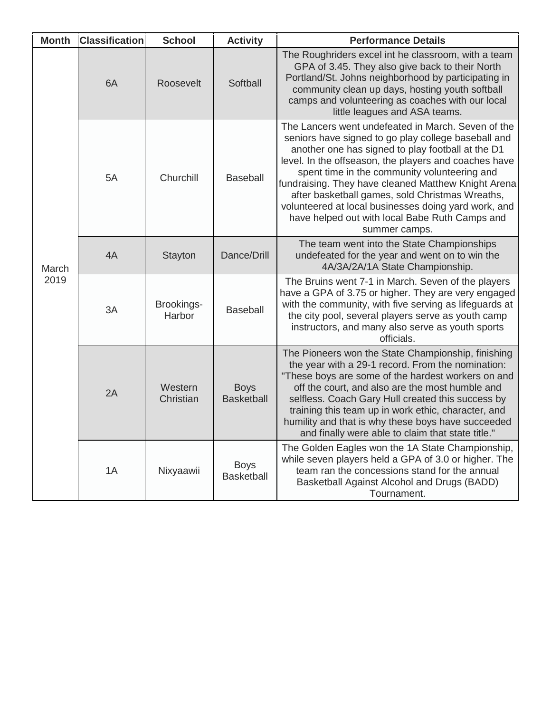| <b>Month</b>  | <b>Classification</b> | <b>School</b>        | <b>Activity</b>                  | <b>Performance Details</b>                                                                                                                                                                                                                                                                                                                                                                                                                                                                                   |
|---------------|-----------------------|----------------------|----------------------------------|--------------------------------------------------------------------------------------------------------------------------------------------------------------------------------------------------------------------------------------------------------------------------------------------------------------------------------------------------------------------------------------------------------------------------------------------------------------------------------------------------------------|
| March<br>2019 | 6A                    | Roosevelt            | Softball                         | The Roughriders excel int he classroom, with a team<br>GPA of 3.45. They also give back to their North<br>Portland/St. Johns neighborhood by participating in<br>community clean up days, hosting youth softball<br>camps and volunteering as coaches with our local<br>little leagues and ASA teams.                                                                                                                                                                                                        |
|               | 5A                    | Churchill            | <b>Baseball</b>                  | The Lancers went undefeated in March. Seven of the<br>seniors have signed to go play college baseball and<br>another one has signed to play football at the D1<br>level. In the offseason, the players and coaches have<br>spent time in the community volunteering and<br>fundraising. They have cleaned Matthew Knight Arena<br>after basketball games, sold Christmas Wreaths,<br>volunteered at local businesses doing yard work, and<br>have helped out with local Babe Ruth Camps and<br>summer camps. |
|               | 4A                    | <b>Stayton</b>       | Dance/Drill                      | The team went into the State Championships<br>undefeated for the year and went on to win the<br>4A/3A/2A/1A State Championship.                                                                                                                                                                                                                                                                                                                                                                              |
|               | 3A                    | Brookings-<br>Harbor | <b>Baseball</b>                  | The Bruins went 7-1 in March. Seven of the players<br>have a GPA of 3.75 or higher. They are very engaged<br>with the community, with five serving as lifeguards at<br>the city pool, several players serve as youth camp<br>instructors, and many also serve as youth sports<br>officials.                                                                                                                                                                                                                  |
|               | 2A                    | Western<br>Christian | <b>Boys</b><br><b>Basketball</b> | The Pioneers won the State Championship, finishing<br>the year with a 29-1 record. From the nomination:<br>"These boys are some of the hardest workers on and<br>off the court, and also are the most humble and<br>selfless. Coach Gary Hull created this success by<br>training this team up in work ethic, character, and<br>humility and that is why these boys have succeeded<br>and finally were able to claim that state title."                                                                      |
|               | 1A                    | Nixyaawii            | <b>Boys</b><br><b>Basketball</b> | The Golden Eagles won the 1A State Championship,<br>while seven players held a GPA of 3.0 or higher. The<br>team ran the concessions stand for the annual<br>Basketball Against Alcohol and Drugs (BADD)<br>Tournament.                                                                                                                                                                                                                                                                                      |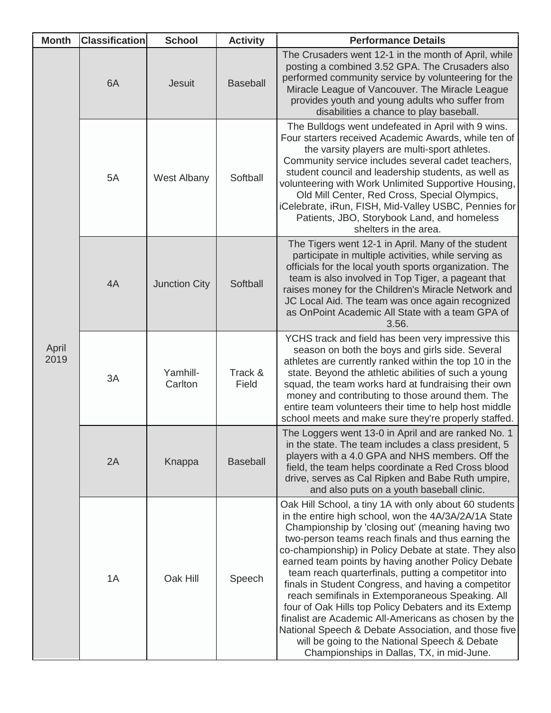| <b>Month</b>  | <b>Classification</b> | <b>School</b>        | <b>Activity</b>  | <b>Performance Details</b>                                                                                                                                                                                                                                                                                                                                                                                                                                                                                                                                                                                                                                                                                                                                                       |
|---------------|-----------------------|----------------------|------------------|----------------------------------------------------------------------------------------------------------------------------------------------------------------------------------------------------------------------------------------------------------------------------------------------------------------------------------------------------------------------------------------------------------------------------------------------------------------------------------------------------------------------------------------------------------------------------------------------------------------------------------------------------------------------------------------------------------------------------------------------------------------------------------|
| April<br>2019 | 6A                    | <b>Jesuit</b>        | <b>Baseball</b>  | The Crusaders went 12-1 in the month of April, while<br>posting a combined 3.52 GPA. The Crusaders also<br>performed community service by volunteering for the<br>Miracle League of Vancouver. The Miracle League<br>provides youth and young adults who suffer from<br>disabilities a chance to play baseball.                                                                                                                                                                                                                                                                                                                                                                                                                                                                  |
|               | 5A                    | <b>West Albany</b>   | Softball         | The Bulldogs went undefeated in April with 9 wins.<br>Four starters received Academic Awards, while ten of<br>the varsity players are multi-sport athletes.<br>Community service includes several cadet teachers,<br>student council and leadership students, as well as<br>volunteering with Work Unlimited Supportive Housing,<br>Old Mill Center, Red Cross, Special Olympics,<br>iCelebrate, iRun, FISH, Mid-Valley USBC, Pennies for<br>Patients, JBO, Storybook Land, and homeless<br>shelters in the area.                                                                                                                                                                                                                                                                |
|               | 4A                    | <b>Junction City</b> | Softball         | The Tigers went 12-1 in April. Many of the student<br>participate in multiple activities, while serving as<br>officials for the local youth sports organization. The<br>team is also involved in Top Tiger, a pageant that<br>raises money for the Children's Miracle Network and<br>JC Local Aid. The team was once again recognized<br>as OnPoint Academic All State with a team GPA of<br>3.56.                                                                                                                                                                                                                                                                                                                                                                               |
|               | 3A                    | Yamhill-<br>Carlton  | Track &<br>Field | YCHS track and field has been very impressive this<br>season on both the boys and girls side. Several<br>athletes are currently ranked within the top 10 in the<br>state. Beyond the athletic abilities of such a young<br>squad, the team works hard at fundraising their own<br>money and contributing to those around them. The<br>entire team volunteers their time to help host middle<br>school meets and make sure they're properly staffed.                                                                                                                                                                                                                                                                                                                              |
|               | 2A                    | Knappa               | <b>Baseball</b>  | The Loggers went 13-0 in April and are ranked No. 1<br>in the state. The team includes a class president, 5<br>players with a 4.0 GPA and NHS members. Off the<br>field, the team helps coordinate a Red Cross blood<br>drive, serves as Cal Ripken and Babe Ruth umpire,<br>and also puts on a youth baseball clinic.                                                                                                                                                                                                                                                                                                                                                                                                                                                           |
|               | 1A                    | Oak Hill             | Speech           | Oak Hill School, a tiny 1A with only about 60 students<br>in the entire high school, won the 4A/3A/2A/1A State<br>Championship by 'closing out' (meaning having two<br>two-person teams reach finals and thus earning the<br>co-championship) in Policy Debate at state. They also<br>earned team points by having another Policy Debate<br>team reach quarterfinals, putting a competitor into<br>finals in Student Congress, and having a competitor<br>reach semifinals in Extemporaneous Speaking. All<br>four of Oak Hills top Policy Debaters and its Extemp<br>finalist are Academic All-Americans as chosen by the<br>National Speech & Debate Association, and those five<br>will be going to the National Speech & Debate<br>Championships in Dallas, TX, in mid-June. |